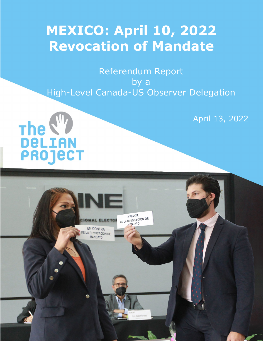# **MEXICO: April 10, 2022 Revocation of Mandate**

Referendum Report by a High-Level Canada-US Observer Delegation

April 13, 2022

The W **PROJECT** 

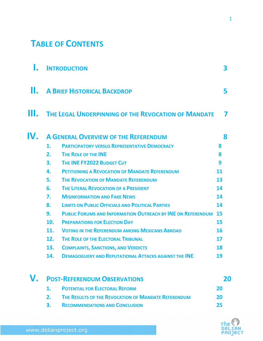# **TABLE OF CONTENTS**

|     | <b>INTRODUCTION</b>                |                                                                       |    |  |  |  |  |  |  |
|-----|------------------------------------|-----------------------------------------------------------------------|----|--|--|--|--|--|--|
| Ш.  | <b>A BRIEF HISTORICAL BACKDROP</b> |                                                                       |    |  |  |  |  |  |  |
| Ш.  |                                    | THE LEGAL UNDERPINNING OF THE REVOCATION OF MANDATE                   |    |  |  |  |  |  |  |
| IV. |                                    | <b>A GENERAL OVERVIEW OF THE REFERENDUM</b>                           | 8  |  |  |  |  |  |  |
|     | 1.                                 | <b>PARTICIPATORY VERSUS REPRESENTATIVE DEMOCRACY</b>                  | 8  |  |  |  |  |  |  |
|     | 2.                                 | THE ROLE OF THE INE                                                   | 8  |  |  |  |  |  |  |
|     | 3.                                 | THE INE FY2022 BUDGET CUT                                             | 9  |  |  |  |  |  |  |
|     | 4.                                 | <b>PETITIONING A REVOCATION OF MANDATE REFERENDUM</b>                 | 11 |  |  |  |  |  |  |
|     | 5.                                 | <b>THE REVOCATION OF MANDATE REFERENDUM</b>                           | 13 |  |  |  |  |  |  |
|     | 6.                                 | <b>THE LITERAL REVOCATION OF A PRESIDENT</b>                          | 14 |  |  |  |  |  |  |
|     | 7.                                 | <b>MISINFORMATION AND FAKE NEWS</b>                                   | 14 |  |  |  |  |  |  |
|     | 8.                                 | <b>LIMITS ON PUBLIC OFFICIALS AND POLITICAL PARTIES</b>               | 14 |  |  |  |  |  |  |
|     | 9.                                 | <b>PUBLIC FORUMS AND INFORMATION OUTREACH BY INE ON REFERENDUM 15</b> |    |  |  |  |  |  |  |
|     | 10.                                | <b>PREPARATIONS FOR ELECTION DAY</b>                                  | 15 |  |  |  |  |  |  |
|     | 11.                                | <b>VOTING IN THE REFERENDUM AMONG MEXICANS ABROAD</b>                 | 16 |  |  |  |  |  |  |
|     | 12.                                | THE ROLE OF THE ELECTORAL TRIBUNAL                                    | 17 |  |  |  |  |  |  |
|     | 13.                                | <b>COMPLAINTS, SANCTIONS, AND VERDICTS</b>                            | 18 |  |  |  |  |  |  |
|     | 14                                 | <b>DEMAGOGUERY AND REPUTATIONAL ATTACKS AGAINST THE INE</b>           | 19 |  |  |  |  |  |  |
|     |                                    | <b>POST-REFERENDUM OBSERVATIONS</b>                                   | 20 |  |  |  |  |  |  |
|     | 1.                                 | <b>POTENTIAL FOR ELECTORAL REFORM</b>                                 | 20 |  |  |  |  |  |  |
|     | 2.                                 | THE RESULTS OF THE REVOCATION OF MANDATE REFERENDUM                   | 20 |  |  |  |  |  |  |
|     | 3.                                 | <b>RECOMMENDATIONS AND CONCLUSION</b>                                 | 25 |  |  |  |  |  |  |

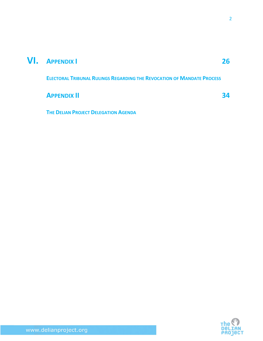### **VI. APPENDIX I 26**

**ELECTORAL TRIBUNAL RULINGS REGARDING THE REVOCATION OF MANDATE PROCESS**

**APPENDIX II** 34

**THE DELIAN PROJECT DELEGATION AGENDA**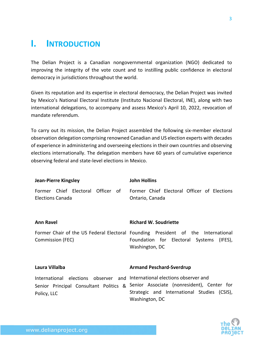### **I. INTRODUCTION**

The Delian Project is a Canadian nongovernmental organization (NGO) dedicated to improving the integrity of the vote count and to instilling public confidence in electoral democracy in jurisdictions throughout the world.

Given its reputation and its expertise in electoral democracy, the Delian Project was invited by Mexico's National Electoral Institute (Instituto Nacional Electoral, INE), along with two international delegations, to accompany and assess Mexico's April 10, 2022, revocation of mandate referendum.

To carry out its mission, the Delian Project assembled the following six-member electoral observation delegation comprising renowned Canadian and US election experts with decades of experience in administering and overseeing elections in their own countries and observing elections internationally. The delegation members have 60 years of cumulative experience observing federal and state-level elections in Mexico.

| <b>Jean-Pierre Kingsley</b>                                                              | <b>John Hollins</b>                                                                                                                                |  |  |
|------------------------------------------------------------------------------------------|----------------------------------------------------------------------------------------------------------------------------------------------------|--|--|
| Former Chief Electoral Officer of<br>Elections Canada                                    | Former Chief Electoral Officer of Elections<br>Ontario, Canada                                                                                     |  |  |
| <b>Ann Ravel</b>                                                                         | <b>Richard W. Soudriette</b>                                                                                                                       |  |  |
| Commission (FEC)                                                                         | Former Chair of the US Federal Electoral Founding President of the International<br>Foundation for Electoral Systems (IFES),<br>Washington, DC     |  |  |
| Laura Villalba                                                                           | <b>Armand Peschard-Sverdrup</b>                                                                                                                    |  |  |
| International elections observer and International elections observer and<br>Policy, LLC | Senior Principal Consultant Politics & Senior Associate (nonresident), Center for<br>Strategic and International Studies (CSIS),<br>Washington, DC |  |  |

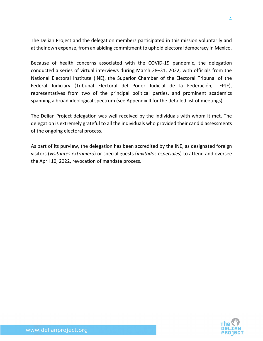The Delian Project and the delegation members participated in this mission voluntarily and at their own expense, from an abiding commitment to uphold electoral democracy in Mexico.

Because of health concerns associated with the COVID-19 pandemic, the delegation conducted a series of virtual interviews during March 28–31, 2022, with officials from the National Electoral Institute (INE), the Superior Chamber of the Electoral Tribunal of the Federal Judiciary (Tribunal Electoral del Poder Judicial de la Federación, TEPJF), representatives from two of the principal political parties, and prominent academics spanning a broad ideological spectrum (see Appendix II for the detailed list of meetings).

The Delian Project delegation was well received by the individuals with whom it met. The delegation is extremely grateful to all the individuals who provided their candid assessments of the ongoing electoral process.

As part of its purview, the delegation has been accredited by the INE, as designated foreign visitors (*visitantes extranjero*) or special guests (*invitados especiales*) to attend and oversee the April 10, 2022, revocation of mandate process.



4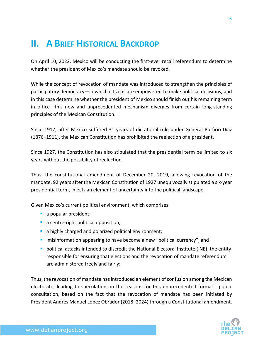### **II. A BRIEF HISTORICAL BACKDROP**

On April 10, 2022, Mexico will be conducting the first-ever recall referendum to determine whether the president of Mexico's mandate should be revoked.

While the concept of revocation of mandate was introduced to strengthen the principles of participatory democracy—in which citizens are empowered to make political decisions, and in this case determine whether the president of Mexico should finish out his remaining term in office—this new and unprecedented mechanism diverges from certain long-standing principles of the Mexican Constitution.

Since 1917, after Mexico suffered 31 years of dictatorial rule under General Porfirio Díaz (1876–1911), the Mexican Constitution has prohibited the reelection of a president.

Since 1927, the Constitution has also stipulated that the presidential term be limited to six years without the possibility of reelection.

Thus, the constitutional amendment of December 20, 2019, allowing revocation of the mandate, 92 years after the Mexican Constitution of 1927 unequivocally stipulated a six-year presidential term, injects an element of uncertainty into the political landscape.

Given Mexico's current political environment, which comprises

- a popular president;
- a centre-right political opposition;
- a highly charged and polarized political environment;
- **E** misinformation appearing to have become a new "political currency"; and
- **•** political attacks intended to discredit the National Electoral Institute (INE), the entity responsible for ensuring that elections and the revocation of mandate referendum are administered freely and fairly;

Thus, the revocation of mandate has introduced an element of confusion among the Mexican electorate, leading to speculation on the reasons for this unprecedented formal public consultation, based on the fact that the revocation of mandate has been initiated by President Andrés Manuel López Obrador (2018–2024) through a Constitutional amendment.

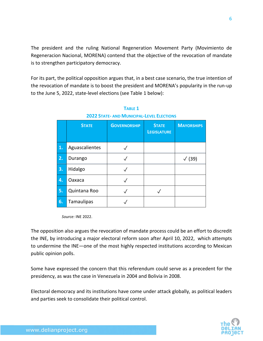The president and the ruling National Regeneration Movement Party (Movimiento de Regeneracion Nacional, MORENA) contend that the objective of the revocation of mandate is to strengthen participatory democracy.

For its part, the political opposition argues that, in a best case scenario, the true intention of the revocation of mandate is to boost the president and MORENA's popularity in the run-up to the June 5, 2022, state-level elections (see Table 1 below):

|    | <b>STATE</b>   | <b>GOVERNORSHIP</b> | <b>STATE</b><br><b>LEGISLATURE</b> | <b>MAYORSHIPS</b> |
|----|----------------|---------------------|------------------------------------|-------------------|
| 1. | Aguascalientes |                     |                                    |                   |
| 2. | Durango        |                     |                                    | $\sqrt{(39)}$     |
| 3. | Hidalgo        |                     |                                    |                   |
| 4. | Oaxaca         |                     |                                    |                   |
| 5. | Quintana Roo   |                     |                                    |                   |
| 6. | Tamaulipas     |                     |                                    |                   |

**TABLE 1 2022 STATE- AND MUNICIPAL-LEVEL ELECTIONS**

 *Source:* INE 2022.

The opposition also argues the revocation of mandate process could be an effort to discredit the INE, by introducing a major electoral reform soon after April 10, 2022, which attempts to undermine the INE—one of the most highly respected institutions according to Mexican public opinion polls.

Some have expressed the concern that this referendum could serve as a precedent for the presidency, as was the case in Venezuela in 2004 and Bolivia in 2008.

Electoral democracy and its institutions have come under attack globally, as political leaders and parties seek to consolidate their political control.

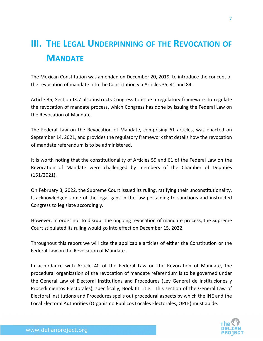# **III. THE LEGAL UNDERPINNING OF THE REVOCATION OF MANDATE**

The Mexican Constitution was amended on December 20, 2019, to introduce the concept of the revocation of mandate into the Constitution via Articles 35, 41 and 84.

Article 35, Section IX.7 also instructs Congress to issue a regulatory framework to regulate the revocation of mandate process, which Congress has done by issuing the Federal Law on the Revocation of Mandate.

The Federal Law on the Revocation of Mandate, comprising 61 articles, was enacted on September 14, 2021, and provides the regulatory framework that details how the revocation of mandate referendum is to be administered.

It is worth noting that the constitutionality of Articles 59 and 61 of the Federal Law on the Revocation of Mandate were challenged by members of the Chamber of Deputies (151/2021).

On February 3, 2022, the Supreme Court issued its ruling, ratifying their unconstitutionality. It acknowledged some of the legal gaps in the law pertaining to sanctions and instructed Congress to legislate accordingly.

However, in order not to disrupt the ongoing revocation of mandate process, the Supreme Court stipulated its ruling would go into effect on December 15, 2022.

Throughout this report we will cite the applicable articles of either the Constitution or the Federal Law on the Revocation of Mandate.

In accordance with Article 40 of the Federal Law on the Revocation of Mandate, the procedural organization of the revocation of mandate referendum is to be governed under the General Law of Electoral Institutions and Procedures (Ley General de Instituciones y Procedimientos Electorales), specifically, Book III Title. This section of the General Law of Electoral Institutions and Procedures spells out procedural aspects by which the INE and the Local Electoral Authorities (Organismo Publicos Locales Electorales, OPLE) must abide.

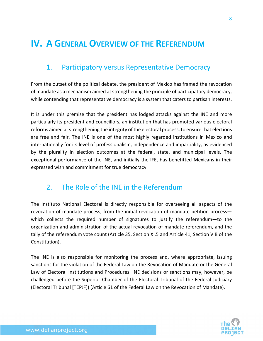### **IV. A GENERAL OVERVIEW OF THE REFERENDUM**

#### 1. Participatory versus Representative Democracy

From the outset of the political debate, the president of Mexico has framed the revocation of mandate as a mechanism aimed atstrengthening the principle of participatory democracy, while contending that representative democracy is a system that caters to partisan interests.

It is under this premise that the president has lodged attacks against the INE and more particularly its president and councillors, an institution that has promoted various electoral reforms aimed at strengthening the integrity of the electoral process, to ensure that elections are free and fair. The INE is one of the most highly regarded institutions in Mexico and internationally for its level of professionalism, independence and impartiality, as evidenced by the plurality in election outcomes at the federal, state, and municipal levels. The exceptional performance of the INE, and initially the IFE, has benefitted Mexicans in their expressed wish and commitment for true democracy.

#### 2. The Role of the INE in the Referendum

The Instituto National Electoral is directly responsible for overseeing all aspects of the revocation of mandate process, from the initial revocation of mandate petition process which collects the required number of signatures to justify the referendum—to the organization and administration of the actual revocation of mandate referendum, and the tally of the referendum vote count (Article 35, Section XI.5 and Article 41, Section V B of the Constitution).

The INE is also responsible for monitoring the process and, where appropriate, issuing sanctions for the violation of the Federal Law on the Revocation of Mandate or the General Law of Electoral Institutions and Procedures. INE decisions or sanctions may, however, be challenged before the Superior Chamber of the Electoral Tribunal of the Federal Judiciary (Electoral Tribunal [TEPJF]) (Article 61 of the Federal Law on the Revocation of Mandate).

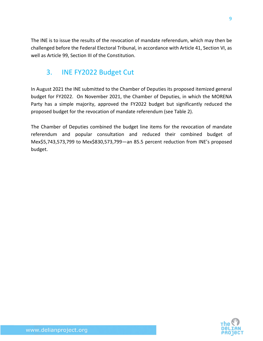The INE is to issue the results of the revocation of mandate referendum, which may then be challenged before the Federal Electoral Tribunal, in accordance with Article 41, Section VI, as well as Article 99, Section III of the Constitution.

#### 3. INE FY2022 Budget Cut

In August 2021 the INE submitted to the Chamber of Deputies its proposed itemized general budget for FY2022. On November 2021, the Chamber of Deputies, in which the MORENA Party has a simple majority, approved the FY2022 budget but significantly reduced the proposed budget for the revocation of mandate referendum (see Table 2).

The Chamber of Deputies combined the budget line items for the revocation of mandate referendum and popular consultation and reduced their combined budget of Mex\$5,743,573,799 to Mex\$830,573,799—an 85.5 percent reduction from INE's proposed budget.

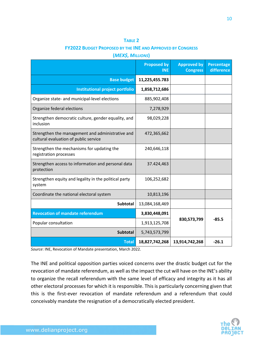#### **TABLE 2**

#### **FY2022 BUDGET PROPOSED BY THE INE AND APPROVED BY CONGRESS**

**(***MEX\$, MILLIONS***)** 

|                                                                                           | <b>Proposed by</b><br><b>INE</b> | <b>Approved by</b><br><b>Congress</b> | Percentage<br><b>difference</b> |
|-------------------------------------------------------------------------------------------|----------------------------------|---------------------------------------|---------------------------------|
| <b>Base budget</b>                                                                        | 11,225,455.783                   |                                       |                                 |
| Institutional project portfolio                                                           | 1,858,712,686                    |                                       |                                 |
| Organize state- and municipal-level elections                                             | 885,902,408                      |                                       |                                 |
| Organize federal elections                                                                | 7,278,929                        |                                       |                                 |
| Strengthen democratic culture, gender equality, and<br>inclusion                          | 98,029,228                       |                                       |                                 |
| Strengthen the management and administrative and<br>cultural evaluation of public service | 472,365,662                      |                                       |                                 |
| Strengthen the mechanisms for updating the<br>registration processes                      | 240,646,118                      |                                       |                                 |
| Strengthen access to information and personal data<br>protection                          | 37.424,463                       |                                       |                                 |
| Strengthen equity and legality in the political party<br>system                           | 106,252,682                      |                                       |                                 |
| Coordinate the national electoral system                                                  | 10,813,196                       |                                       |                                 |
| Subtotal                                                                                  | 13,084,168,469                   |                                       |                                 |
| <b>Revocation of mandate referendum</b>                                                   | 3,830,448,091                    |                                       |                                 |
| Popular consultation                                                                      | 1,913,125,708                    | 830,573,799                           | $-85.5$                         |
| <b>Subtotal</b>                                                                           | 5,743,573,799                    |                                       |                                 |
| <b>Total</b>                                                                              | 18,827,742,268                   | 13,914,742,268                        | $-26.1$                         |

*Source*: INE, Revocation of Mandate presentation, March 2022.

The INE and political opposition parties voiced concerns over the drastic budget cut for the revocation of mandate referendum, as well as the impact the cut will have on the INE's ability to organize the recall referendum with the same level of efficacy and integrity as it has all other electoral processes for which it is responsible. This is particularly concerning given that this is the first-ever revocation of mandate referendum and a referendum that could conceivably mandate the resignation of a democratically elected president.

10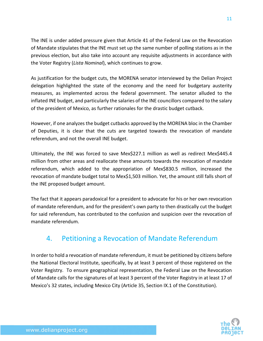The INE is under added pressure given that Article 41 of the Federal Law on the Revocation of Mandate stipulates that the INE must set up the same number of polling stations as in the previous election, but also take into account any requisite adjustments in accordance with the Voter Registry (*Lista Nominal*), which continues to grow.

As justification for the budget cuts, the MORENA senator interviewed by the Delian Project delegation highlighted the state of the economy and the need for budgetary austerity measures, as implemented across the federal government. The senator alluded to the inflated INE budget, and particularly the salaries of the INE councillors compared to the salary of the president of Mexico, as further rationales for the drastic budget cutback.

However, if one analyzes the budget cutbacks approved by the MORENA bloc in the Chamber of Deputies, it is clear that the cuts are targeted towards the revocation of mandate referendum, and not the overall INE budget.

Ultimately, the INE was forced to save Mex\$227.1 million as well as redirect Mex\$445.4 million from other areas and reallocate these amounts towards the revocation of mandate referendum, which added to the appropriation of Mex\$830.5 million, increased the revocation of mandate budget total to Mex\$1,503 million. Yet, the amount still falls short of the INE proposed budget amount.

The fact that it appears paradoxical for a president to advocate for his or her own revocation of mandate referendum, and for the president's own party to then drastically cut the budget for said referendum, has contributed to the confusion and suspicion over the revocation of mandate referendum.

### 4. Petitioning a Revocation of Mandate Referendum

In order to hold a revocation of mandate referendum, it must be petitioned by citizens before the National Electoral Institute, specifically, by at least 3 percent of those registered on the Voter Registry. To ensure geographical representation, the Federal Law on the Revocation of Mandate calls for the signatures of at least 3 percent of the Voter Registry in at least 17 of Mexico's 32 states, including Mexico City (Article 35, Section IX.1 of the Constitution).

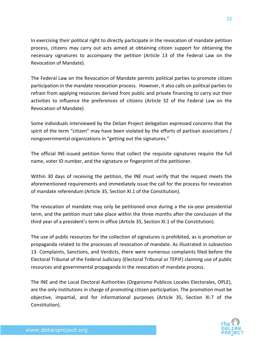In exercising their political right to directly participate in the revocation of mandate petition process, citizens may carry out acts aimed at obtaining citizen support for obtaining the necessary signatures to accompany the petition (Article 13 of the Federal Law on the Revocation of Mandate).

The Federal Law on the Revocation of Mandate permits political parties to promote citizen participation in the mandate revocation process. However, it also calls on political parties to refrain from applying resources derived from public and private financing to carry out their activities to influence the preferences of citizens (Article 32 of the Federal Law on the Revocation of Mandate)

Some individuals interviewed by the Delian Project delegation expressed concerns that the spirit of the term "citizen" may have been violated by the efforts of partisan associations / nongovernmental organizations in "getting out the signatures."

The official INE-issued petition forms that collect the requisite signatures require the full name, voter ID number, and the signature or fingerprint of the petitioner.

Within 30 days of receiving the petition, the INE must verify that the request meets the aforementioned requirements and immediately issue the call for the process for revocation of mandate referendum (Article 35, Section XI.1 of the Constitution).

The revocation of mandate may only be petitioned once during a the six-year presidential term, and the petition must take place within the three months after the conclusion of the third year of a president's term in office (Article 35, Section XI.1 of the Constitution).

The use of public resources for the collection of signatures is prohibited, as is promotion or propaganda related to the processes of revocation of mandate. As illustrated in subsection 13. Complaints, Sanctions, and Verdicts, there were numerous complaints filed before the Electoral Tribunal of the Federal Judiciary (Electoral Tribunal or TEPJF) claiming use of public resources and governmental propaganda in the revocation of mandate process.

The INE and the Local Electoral Authorities (Organismo Publicos Locales Electorales, OPLE), are the only institutions in charge of promoting citizen participation. The promotion must be objective, impartial, and for informational purposes (Article 35, Section XI.7 of the Constitution).

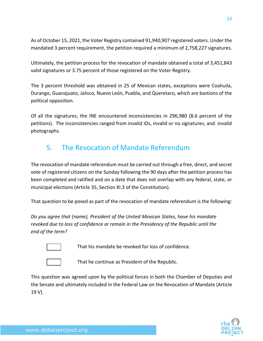As of October 15, 2021, the Voter Registry contained 91,940,907 registered voters. Under the mandated 3 percent requirement, the petition required a minimum of 2,758,227 signatures.

Ultimately, the petition process for the revocation of mandate obtained a total of 3,451,843 valid signatures or 3.75 percent of those registered on the Voter Registry.

The 3 percent threshold was obtained in 25 of Mexican states, exceptions were Coahuila, Durango, Guanajuato, Jalisco, Nuevo León, Puebla, and Queretaro, which are bastions of the political opposition.

Of all the signatures, the INE encountered inconsistencies in 296,980 (8.6 percent of the petitions). The inconsistencies ranged from invalid IDs, invalid or no signatures, and invalid photographs.

### 5. The Revocation of Mandate Referendum

The revocation of mandate referendum must be carried out through a free, direct, and secret vote of registered citizens on the Sunday following the 90 days after the petition process has been completed and ratified and on a date that does not overlap with any federal, state, or municipal elections (Article 35, Section XI.3 of the Constitution).

That question to be posed as part of the revocation of mandate referendum is the following:

*Do you agree that (name), President of the United Mexican States, have his mandate revoked due to loss of confidence or remain in the Presidency of the Republic until the end of the term?*



That his mandate be revoked for loss of confidence.



That he continue as President of the Republic.

This question was agreed upon by the political forces in both the Chamber of Deputies and the Senate and ultimately included in the Federal Law on the Revocation of Mandate (Article 19 V).

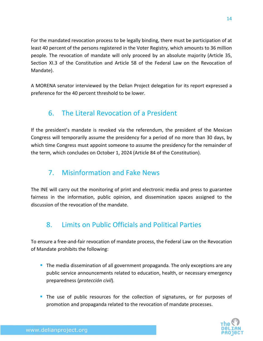For the mandated revocation process to be legally binding, there must be participation of at least 40 percent of the persons registered in the Voter Registry, which amounts to 36 million people. The revocation of mandate will only proceed by an absolute majority (Article 35, Section XI.3 of the Constitution and Article 58 of the Federal Law on the Revocation of Mandate).

A MORENA senator interviewed by the Delian Project delegation for its report expressed a preference for the 40 percent threshold to be lower.

### 6. The Literal Revocation of a President

If the president's mandate is revoked via the referendum, the president of the Mexican Congress will temporarily assume the presidency for a period of no more than 30 days, by which time Congress must appoint someone to assume the presidency for the remainder of the term, which concludes on October 1, 2024 (Article 84 of the Constitution).

### 7. Misinformation and Fake News

The INE will carry out the monitoring of print and electronic media and press to guarantee fairness in the information, public opinion, and dissemination spaces assigned to the discussion of the revocation of the mandate.

### 8. Limits on Public Officials and Political Parties

To ensure a free-and-fair revocation of mandate process, the Federal Law on the Revocation of Mandate prohibits the following:

- **The media dissemination of all government propaganda. The only exceptions are any** public service announcements related to education, health, or necessary emergency preparedness (*protección civil*).
- **The use of public resources for the collection of signatures, or for purposes of** promotion and propaganda related to the revocation of mandate processes.

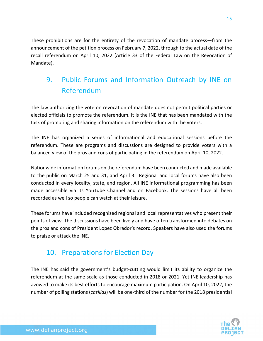These prohibitions are for the entirety of the revocation of mandate process—from the announcement of the petition process on February 7, 2022, through to the actual date of the recall referendum on April 10, 2022 (Article 33 of the Federal Law on the Revocation of Mandate).

### 9. Public Forums and Information Outreach by INE on Referendum

The law authorizing the vote on revocation of mandate does not permit political parties or elected officials to promote the referendum. It is the INE that has been mandated with the task of promoting and sharing information on the referendum with the voters.

The INE has organized a series of informational and educational sessions before the referendum. These are programs and discussions are designed to provide voters with a balanced view of the pros and cons of participating in the referendum on April 10, 2022.

Nationwide information forums on the referendum have been conducted and made available to the public on March 25 and 31, and April 3. Regional and local forums have also been conducted in every locality, state, and region. All INE informational programming has been made accessible via its YouTube Channel and on Facebook. The sessions have all been recorded as well so people can watch at their leisure.

These forums have included recognized regional and local representatives who present their points of view. The discussions have been lively and have often transformed into debates on the pros and cons of President Lopez Obrador's record. Speakers have also used the forums to praise or attack the INE.

### 10. Preparations for Election Day

The INE has said the government's budget-cutting would limit its ability to organize the referendum at the same scale as those conducted in 2018 or 2021. Yet INE leadership has avowed to make its best efforts to encourage maximum participation. On April 10, 2022, the number of polling stations (*casillas*) will be one-third of the number for the 2018 presidential

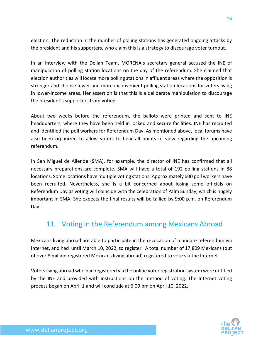election. The reduction in the number of polling stations has generated ongoing attacks by the president and his supporters, who claim this is a strategy to discourage voter turnout.

In an interview with the Delian Team, MORENA's secretary general accused the INE of manipulation of polling station locations on the day of the referendum. She claimed that election authorities will locate more polling stations in affluent areas where the opposition is stronger and choose fewer and more inconvenient polling station locations for voters living in lower-income areas. Her assertion is that this is a deliberate manipulation to discourage the president's supporters from voting.

About two weeks before the referendum, the ballots were printed and sent to INE headquarters, where they have been held in locked and secure facilities. INE has recruited and identified the poll workers for Referendum Day. As mentioned above, local forums have also been organized to allow voters to hear all points of view regarding the upcoming referendum.

In San Miguel de Allende (SMA), for example, the director of INE has confirmed that all necessary preparations are complete. SMA will have a total of 192 polling stations in 88 locations. Some locations have multiple voting stations. Approximately 600 poll workers have been recruited. Nevertheless, she is a bit concerned about losing some officials on Referendum Day as voting will coincide with the celebration of Palm Sunday, which is hugely important in SMA. She expects the final results will be tallied by 9:00 p.m. on Referendum Day.

### 11. Voting in the Referendum among Mexicans Abroad

Mexicans living abroad are able to participate in the revocation of mandate referendum via Internet, and had until March 10, 2022, to register. A total number of 17,809 Mexicans (out of over 8 million registered Mexicans living abroad) registered to vote via the Internet.

Voters living abroad who had registered via the online voter registration system were notified by the INE and provided with instructions on the method of voting. The Internet voting process began on April 1 and will conclude at 6:00 pm on April 10, 2022.

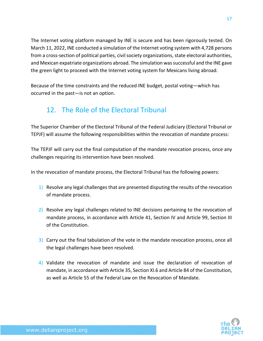The Internet voting platform managed by INE is secure and has been rigorously tested. On March 11, 2022, INE conducted a simulation of the Internet voting system with 4,728 persons from a cross-section of political parties, civil society organizations, state electoral authorities, and Mexican expatriate organizations abroad. The simulation wassuccessful and the INE gave the green light to proceed with the Internet voting system for Mexicans living abroad.

Because of the time constraints and the reduced INE budget, postal voting—which has occurred in the past—is not an option.

### 12. The Role of the Electoral Tribunal

The Superior Chamber of the Electoral Tribunal of the Federal Judiciary (Electoral Tribunal or TEPJF) will assume the following responsibilities within the revocation of mandate process:

The TEPJF will carry out the final computation of the mandate revocation process, once any challenges requiring its intervention have been resolved.

In the revocation of mandate process, the Electoral Tribunal has the following powers:

- 1) Resolve any legal challenges that are presented disputing the results of the revocation of mandate process.
- 2) Resolve any legal challenges related to INE decisions pertaining to the revocation of mandate process, in accordance with Article 41, Section IV and Article 99, Section III of the Constitution.
- 3) Carry out the final tabulation of the vote in the mandate revocation process, once all the legal challenges have been resolved.
- 4) Validate the revocation of mandate and issue the declaration of revocation of mandate, in accordance with Article 35, Section XI.6 and Article 84 of the Constitution, as well as Article 55 of the Federal Law on the Revocation of Mandate.



17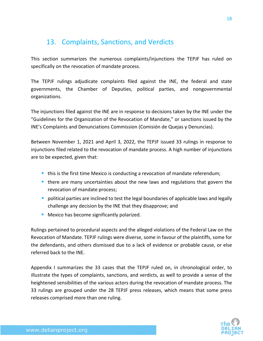#### 13. Complaints, Sanctions, and Verdicts

This section summarizes the numerous complaints/injunctions the TEPJF has ruled on specifically on the revocation of mandate process.

The TEPJF rulings adjudicate complaints filed against the INE, the federal and state governments, the Chamber of Deputies, political parties, and nongovernmental organizations.

The injunctions filed against the INE are in response to decisions taken by the INE under the "Guidelines for the Organization of the Revocation of Mandate," or sanctions issued by the INE's Complaints and Denunciations Commission (Comisión de Quejas y Denuncias).

Between November 1, 2021 and April 3, 2022, the TEPJF issued 33 rulings in response to injunctions filed related to the revocation of mandate process. A high number of injunctions are to be expected, given that:

- this is the first time Mexico is conducting a revocation of mandate referendum;
- there are many uncertainties about the new laws and regulations that govern the revocation of mandate process;
- **•** political parties are inclined to test the legal boundaries of applicable laws and legally challenge any decision by the INE that they disapprove; and
- **■** Mexico has become significantly polarized.

Rulings pertained to procedural aspects and the alleged violations of the Federal Law on the Revocation of Mandate. TEPJF rulings were diverse, some in favour of the plaintiffs, some for the defendants, and others dismissed due to a lack of evidence or probable cause, or else referred back to the INE.

Appendix I summarizes the 33 cases that the TEPJF ruled on, in chronological order, to illustrate the types of complaints, sanctions, and verdicts, as well to provide a sense of the heightened sensibilities of the various actors during the revocation of mandate process. The 33 rulings are grouped under the 28 TEPJF press releases, which means that some press releases comprised more than one ruling.

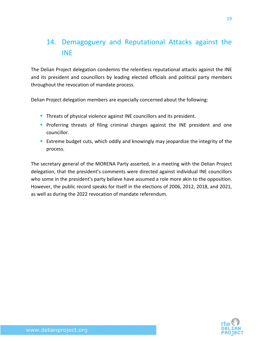### 14. Demagoguery and Reputational Attacks against the INE

The Delian Project delegation condemns the relentless reputational attacks against the INE and its president and councillors by leading elected officials and political party members throughout the revocation of mandate process.

Delian Project delegation members are especially concerned about the following:

- **Threats of physical violence against INE councillors and its president.**
- **Proferring threats of filing criminal charges against the INE president and one** councillor.
- **Extreme budget cuts, which oddly and knowingly may jeopardize the integrity of the** process.

The secretary general of the MORENA Party asserted, in a meeting with the Delian Project delegation, that the president's comments were directed against individual INE councillors who some in the president's party believe have assumed a role more akin to the opposition. However, the public record speaks for itself in the elections of 2006, 2012, 2018, and 2021, as well as during the 2022 revocation of mandate referendum.

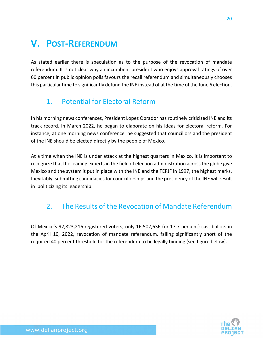# **V. POST-REFERENDUM**

As stated earlier there is speculation as to the purpose of the revocation of mandate referendum. It is not clear why an incumbent president who enjoys approval ratings of over 60 percent in public opinion polls favours the recall referendum and simultaneously chooses this particular time to significantly defund the INE instead of at the time of the June 6 election.

### 1. Potential for Electoral Reform

In his morning news conferences, President Lopez Obrador has routinely criticized INE and its track record*.* In March 2022, he began to elaborate on his ideas for electoral reform. For instance, at one morning news conference he suggested that councillors and the president of the INE should be elected directly by the people of Mexico.

At a time when the INE is under attack at the highest quarters in Mexico, it is important to recognize that the leading experts in the field of election administration across the globe give Mexico and the system it put in place with the INE and the TEPJF in 1997, the highest marks. Inevitably, submitting candidacies for councillorships and the presidency of the INE will result in politicizing its leadership.

### 2. The Results of the Revocation of Mandate Referendum

Of Mexico's 92,823,216 registered voters, only 16,502,636 (or 17.7 percent) cast ballots in the April 10, 2022, revocation of mandate referendum, falling significantly short of the required 40 percent threshold for the referendum to be legally binding (see figure below).

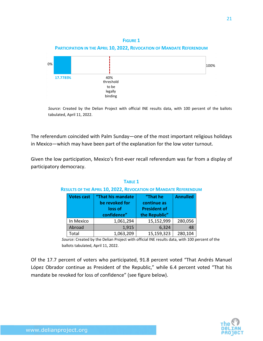

*Source:* Created by the Delian Project with official INE results data, with 100 percent of the ballots tabulated, April 11, 2022.

The referendum coincided with Palm Sunday—one of the most important religious holidays in Mexico—which may have been part of the explanation for the low voter turnout.

Given the low participation, Mexico's first-ever recall referendum was far from a display of participatory democracy.

| <b>Votes cast</b> | "That his mandate | "That he            | <b>Annulled</b> |
|-------------------|-------------------|---------------------|-----------------|
|                   | be revoked for    | continue as         |                 |
|                   | loss of           | <b>President of</b> |                 |
|                   | confidence"       | the Republic"       |                 |
| In Mexico         | 1,061,294         | 15,152,999          | 280,056         |
| Abroad            | 1,915             | 6,324               | 48              |
| Total             | 1,063,209         | 15,159,323          | 280,104         |

**TABLE 1 RESULTS OF THE APRIL 10, 2022, REVOCATION OF MANDATE REFERENDUM**

*Source:* Created by the Delian Project with official INE results data, with 100 percent of the ballots tabulated, April 11, 2022.

Of the 17.7 percent of voters who participated, 91.8 percent voted "That Andrés Manuel López Obrador continue as President of the Republic," while 6.4 percent voted "That his mandate be revoked for loss of confidence" (see figure below).

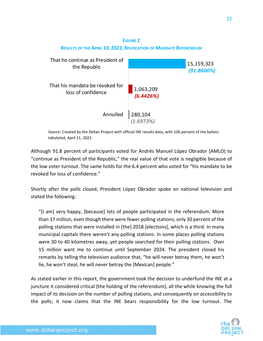

*Source:* Created by the Delian Project with official INE results data, with 100 percent of the ballots tabulated, April 11, 2022.

Although 91.8 percent of participants voted for Andrés Manuel López Obrador (AMLO) to "continue as President of the Republic," the real value of that vote is negligible because of the low voter turnout. The same holds for the 6.4 percent who voted for "his mandate to be revoked for loss of confidence."

Shortly after the polls closed, President López Obrador spoke on national television and stated the following:

"[I am] very happy, [because] lots of people participated in the referendum. More than 17 million, even though there were fewer polling stations; only 30 percent of the polling stations that were installed in [the] 2018 [elections], which is a third. In many municipal capitals there weren't any polling stations. In some places polling stations were 30 to 40 kilometres away, yet people searched for their polling stations. Over 15 million want me to continue until September 2024. The president closed his remarks by telling the television audience that, "he will never betray them, he won't lie, he won't steal, he will never betray the [Mexican] people."

As stated earlier in this report, the government took the decision to underfund the INE at a juncture it considered critical (the holding of the referendum), all the while knowing the full impact of its decision on the number of polling stations, and consequently on accessibility to the polls; it now claims that the INE bears responsibility for the low turnout. The

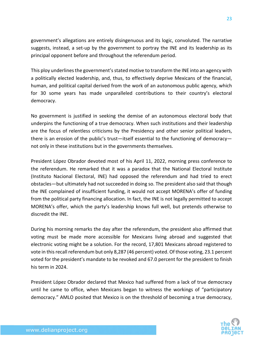government's allegations are entirely disingenuous and its logic, convoluted. The narrative suggests, instead, a set-up by the government to portray the INE and its leadership as its principal opponent before and throughout the referendum period.

This ploy underlines the government's stated motive to transform the INE into an agency with a politically elected leadership, and, thus, to effectively deprive Mexicans of the financial, human, and political capital derived from the work of an autonomous public agency, which for 30 some years has made unparalleled contributions to their country's electoral democracy.

No government is justified in seeking the demise of an autonomous electoral body that underpins the functioning of a true democracy. When such institutions and their leadership are the focus of relentless criticisms by the Presidency and other senior political leaders, there is an erosion of the public's trust—itself essential to the functioning of democracy not only in these institutions but in the governments themselves.

President López Obrador devoted most of his April 11, 2022, morning press conference to the referendum. He remarked that it was a paradox that the National Electoral Institute (Instituto Nacional Electoral, INE) had opposed the referendum and had tried to erect obstacles—but ultimately had not succeeded in doing so. The president also said that though the INE complained of insufficient funding, it would not accept MORENA's offer of funding from the political party financing allocation. In fact, the INE is not legally permitted to accept MORENA's offer, which the party's leadership knows full well, but pretends otherwise to discredit the INE.

During his morning remarks the day after the referendum, the president also affirmed that voting must be made more accessible for Mexicans living abroad and suggested that electronic voting might be a solution. For the record, 17,801 Mexicans abroad registered to vote in this recall referendum but only 8,287 (46 percent) voted. Of those voting, 23.1 percent voted for the president's mandate to be revoked and 67.0 percent for the president to finish his term in 2024.

President López Obrador declared that Mexico had suffered from a lack of true democracy until he came to office, when Mexicans began to witness the workings of "participatory democracy." AMLO posited that Mexico is on the threshold of becoming a true democracy,

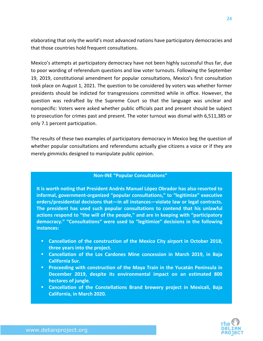elaborating that only the world's most advanced nations have participatory democracies and that those countries hold frequent consultations.

Mexico's attempts at participatory democracy have not been highly successful thus far, due to poor wording of referendum questions and low voter turnouts. Following the September 19, 2019, constitutional amendment for popular consultations, Mexico's first consultation took place on August 1, 2021. The question to be considered by voters was whether former presidents should be indicted for transgressions committed while in office. However, the question was redrafted by the Supreme Court so that the language was unclear and nonspecific: Voters were asked whether public officials past and present should be subject to prosecution for crimes past and present. The voter turnout was dismal with 6,511,385 or only 7.1 percent participation.

The results of these two examples of participatory democracy in Mexico beg the question of whether popular consultations and referendums actually give citizens a voice or if they are merely gimmicks designed to manipulate public opinion.

#### **Non-INE "Popular Consultations"**

**It is worth noting that President Andrés Manuel López Obrador has also resorted to informal, government-organized "popular consultations," to "legitimize" executive orders/presidential decisions that—in all instances—violate law or legal contracts. The president has used such popular consultations to contend that his unlawful actions respond to "the will of the people," and are in keeping with "participatory democracy." "Consultations" were used to "legitimize" decisions in the following instances:**

- **Cancellation of the construction of the Mexico City airport in October 2018, three years into the project.**
- **Cancellation of the Los Cardones Mine concession in March 2019, in Baja California Sur.**
- **Proceeding with construction of the Maya Train in the Yucatán Peninsula in December 2019, despite its environmental impact on an estimated 800 hectares of jungle.**
- **Cancellation of the Constellations Brand brewery project in Mexicali, Baja California, in March 2020.**

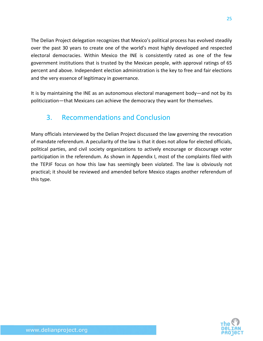The Delian Project delegation recognizes that Mexico's political process has evolved steadily over the past 30 years to create one of the world's most highly developed and respected electoral democracies. Within Mexico the INE is consistently rated as one of the few government institutions that is trusted by the Mexican people, with approval ratings of 65 percent and above. Independent election administration is the key to free and fair elections and the very essence of legitimacy in governance.

It is by maintaining the INE as an autonomous electoral management body—and not by its politicization—that Mexicans can achieve the democracy they want for themselves.

### 3. Recommendations and Conclusion

Many officials interviewed by the Delian Project discussed the law governing the revocation of mandate referendum. A peculiarity of the law is that it does not allow for elected officials, political parties, and civil society organizations to actively encourage or discourage voter participation in the referendum. As shown in Appendix I, most of the complaints filed with the TEPJF focus on how this law has seemingly been violated. The law is obviously not practical; it should be reviewed and amended before Mexico stages another referendum of this type.

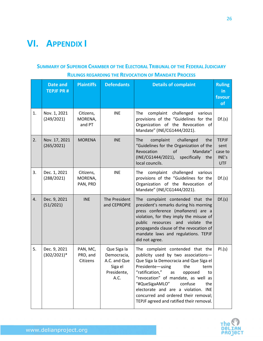# **VI. APPENDIX I**

#### **SUMMARY OF SUPERIOR CHAMBER OF THE ELECTORAL TRIBUNAL OF THE FEDERAL JUDICIARY RULINGS REGARDING THE REVOCATION OF MANDATE PROCESS**

|    | Date and<br><b>TEPJF PR#</b>   | <b>Plaintiffs</b>                | <b>Defendants</b>                                                            | <b>Details of complaint</b>                                                                                                                                                                                                                                                                                                                                                                    | <b>Ruling</b><br>in<br>favour<br>of                    |
|----|--------------------------------|----------------------------------|------------------------------------------------------------------------------|------------------------------------------------------------------------------------------------------------------------------------------------------------------------------------------------------------------------------------------------------------------------------------------------------------------------------------------------------------------------------------------------|--------------------------------------------------------|
| 1. | Nov. 1, 2021<br>(249/2021)     | Citizens,<br>MORENA,<br>and PT   | <b>INE</b>                                                                   | complaint<br>challenged<br>The<br>various<br>provisions of the "Guidelines for the<br>Organization of the Revocation of<br>Mandate" (INE/CG1444/2021).                                                                                                                                                                                                                                         | Df.(s)                                                 |
| 2. | Nov. 17, 2021<br>(265/2021)    | <b>MORENA</b>                    | <b>INE</b>                                                                   | complaint<br><b>The</b><br>challenged<br>the<br>"Guidelines for the Organization of the<br>Mandate"<br>Revocation<br>of<br>(INE/CG1444/2021),<br>specifically<br>the<br>local councils.                                                                                                                                                                                                        | <b>TEPJF</b><br>sent<br>case to<br>INE's<br><b>UTF</b> |
| 3. | Dec. 1, 2021<br>(288/2021)     | Citizens,<br>MORENA,<br>PAN, PRD | <b>INE</b>                                                                   | The complaint challenged<br>various<br>provisions of the "Guidelines for the<br>Organization of the Revocation of<br>Mandate" (INE/CG1444/2021).                                                                                                                                                                                                                                               | Df.(s)                                                 |
| 4. | Dec. 9, 2021<br>(51/2021)      | <b>INE</b>                       | The President<br>and CEPROPIE                                                | The complaint contended that the<br>president's remarks during his morning<br>press conference (mañanera) are a<br>violation, for they imply the misuse of<br>public resources<br>and violate<br>the<br>propaganda clause of the revocation of<br>mandate laws and regulations. TEPJF<br>did not agree.                                                                                        | Df.(s)                                                 |
| 5. | Dec. 9, 2021<br>$(302/2021)^*$ | PAN, MC,<br>PRD, and<br>Citizens | Que Siga la<br>Democracia,<br>A.C. and Que<br>Siga el<br>Presidente,<br>A.C. | The complaint contended that the<br>publicity used by two associations-<br>Que Siga la Democracia and Que Siga el<br>Presidente-using<br>the<br>term<br>"ratification," as opposed<br>to<br>"revocation" of mandate, as well as<br>"#QueSigaAMLO"<br>confuse<br>the<br>electorate and are a violation. INE<br>concurred and ordered their removal;<br>TEPJF agreed and ratified their removal. | PI.(s)                                                 |

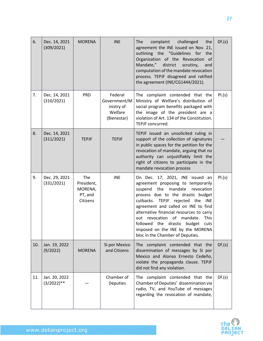| 6.  | Dec. 14, 2021<br>(309/2021)    | <b>MORENA</b>                                       | <b>INE</b>                                                      | The<br>complaint<br>challenged<br>the<br>agreement the INE issued on Nov. 21,<br>outlining the "Guidelines for<br>the<br>Organization of the Revocation of<br>Mandate,"<br>district<br>scrutiny,<br>and<br>computation of the mandate revocation<br>process. TEPJF disagreed and ratified<br>the agreement (INE/CG1444/2021).                                                                                                                  | Df.(s) |
|-----|--------------------------------|-----------------------------------------------------|-----------------------------------------------------------------|------------------------------------------------------------------------------------------------------------------------------------------------------------------------------------------------------------------------------------------------------------------------------------------------------------------------------------------------------------------------------------------------------------------------------------------------|--------|
| 7.  | Dec. 14, 2021<br>(310/2021)    | <b>PRD</b>                                          | Federal<br>Government/M<br>inistry of<br>Welfare<br>(Bienestar) | The complaint contended that the<br>Ministry of Welfare's distribution of<br>social program benefits packaged with<br>the image of the president are a<br>violation of Art. 134 of the Constitution.<br>TEPJF concurred.                                                                                                                                                                                                                       | PI.(s) |
| 8.  | Dec. 14, 2021<br>(311/2021)    | <b>TEPJF</b>                                        | <b>TEPJF</b>                                                    | TEPJF issued an unsolicited ruling in<br>support of the collection of signatures<br>in public spaces for the petition for the<br>revocation of mandate, arguing that no<br>authority can unjustifiably limit the<br>right of citizens to participate in the<br>mandate revocation process                                                                                                                                                      |        |
| 9.  | Dec. 29, 2021<br>(331/2021)    | The<br>President,<br>MORENA,<br>PT, and<br>Citizens | <b>INE</b>                                                      | On Dec. 17, 2021, INE issued an<br>agreement proposing to temporarily<br>mandate revocation<br>suspend the<br>process due to the drastic budget<br>cutbacks. TEPJF rejected the<br>INE<br>agreement and called on INE to find<br>alternative financial resources to carry<br>revocation<br>of mandate.<br><b>This</b><br>out<br>followed the drastic<br>budget<br>cuts<br>imposed on the INE by the MORENA<br>bloc in the Chamber of Deputies. | PI.(s) |
| 10. | Jan. 19, 2022<br>(9/2022)      | <b>MORENA</b>                                       | Si por Mexico<br>and Citizens                                   | The complaint contended that the<br>dissemination of messages by Si por<br>Mexico and Alonso Ernesto Cedeño,<br>violate the propaganda clause. TEPJF<br>did not find any violation.                                                                                                                                                                                                                                                            | Df.(s) |
| 11. | Jan. 20, 2022<br>$(3/2022)$ ** |                                                     | Chamber of<br>Deputies                                          | The complaint contended that the<br>Chamber of Deputies' dissemination via<br>radio, TV, and YouTube of messages<br>regarding the revocation of mandate,                                                                                                                                                                                                                                                                                       | Df.(s) |

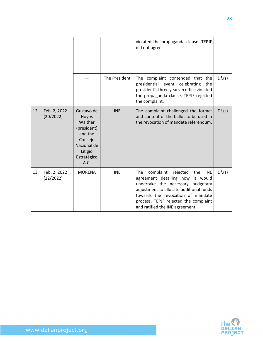|     |                           |                                                                                                                      |               | violated the propaganda clause. TEPJF<br>did not agree.                                                                                                                                                                                                                                |        |
|-----|---------------------------|----------------------------------------------------------------------------------------------------------------------|---------------|----------------------------------------------------------------------------------------------------------------------------------------------------------------------------------------------------------------------------------------------------------------------------------------|--------|
|     |                           |                                                                                                                      | The President | The complaint contended that the<br>presidential event<br>celebrating<br>the<br>president's three years in office violated<br>the propaganda clause. TEPJF rejected<br>the complaint.                                                                                                  | Df.(s) |
| 12. | Feb. 2, 2022<br>(20/2022) | Gustavo de<br>Hoyos<br>Walther<br>(president)<br>and the<br>Consejo<br>Nacional de<br>Litigio<br>Estratégico<br>A.C. | <b>INE</b>    | The complaint challenged the format<br>and content of the ballot to be used in<br>the revocation of mandate referendum.                                                                                                                                                                | Df.(s) |
| 13. | Feb. 2, 2022<br>(22/2022) | <b>MORENA</b>                                                                                                        | <b>INE</b>    | complaint<br>The<br>rejected<br>the<br><b>INE</b><br>agreement detailing how it would<br>undertake the necessary budgetary<br>adjustment to allocate additional funds<br>towards the revocation of mandate<br>process. TEPJF rejected the complaint<br>and ratified the INE agreement. | Df.(s) |

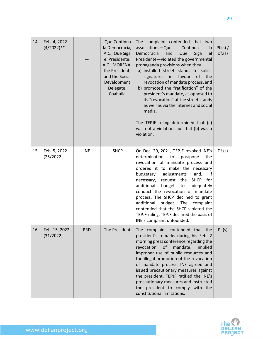| 14. | Feb. 4, 2022<br>$(4/2022)**$ |            | Que Continua<br>la Democracia,<br>A.C.; Que Siga<br>el Presidente,<br>A.C., MORENA;<br>the President;<br>and the Social<br>Development<br>Delegate,<br>Coahuila | The complaint contended that two<br>associations-Que<br>Continua<br>la<br>Democracia<br>Que<br>Siga<br>and<br>el<br>Presidente-violated the governmental<br>propaganda provisions when they<br>a) installed street stands to solicit<br>favour of the<br>signatures<br>in<br>revocation of mandate process, and<br>b) promoted the "ratification" of the<br>president's mandate, as opposed to<br>its "revocation" at the street stands<br>as well as via the Internet and social<br>media.<br>The TEPJF ruling determined that (a)<br>was not a violation, but that (b) was a<br>violation. | PI.(s) /<br>Df.(s) |
|-----|------------------------------|------------|-----------------------------------------------------------------------------------------------------------------------------------------------------------------|----------------------------------------------------------------------------------------------------------------------------------------------------------------------------------------------------------------------------------------------------------------------------------------------------------------------------------------------------------------------------------------------------------------------------------------------------------------------------------------------------------------------------------------------------------------------------------------------|--------------------|
| 15. | Feb. 5, 2022<br>(25/2022)    | <b>INE</b> | <b>SHCP</b>                                                                                                                                                     | On Dec. 29, 2021, TEPJF revoked INE's<br>determination<br>to<br>postpone<br>the<br>revocation of mandate process and<br>ordered it to make the necessary<br>budgetary<br>adjustments<br>and,<br>it<br>request the<br><b>SHCP</b><br>necessary,<br>for<br>additional<br>budget<br>adequately<br>to<br>conduct the revocation of mandate<br>process. The SHCP declined to grant<br>additional<br>budget. The<br>complaint<br>contended that the SHCP violated the<br>TEPJF ruling. TEPJF declared the basis of<br>INE's complaint unfounded.                                                   | Df.(s)             |
| 16. | Feb. 15, 2022<br>(31/2022)   | <b>PRD</b> | The President                                                                                                                                                   | The complaint contended that the<br>president's remarks during his Feb. 2<br>morning press conference regarding the<br>revocation<br>of<br>mandate,<br>implied<br>improper use of public resources and<br>the illegal promotion of the revocation<br>of mandate process. INE agreed and<br>issued precautionary measures against<br>the president. TEPJF ratified the INE's<br>precautionary measures and instructed<br>the president to comply with the<br>constitutional limitations.                                                                                                      | PI.(s)             |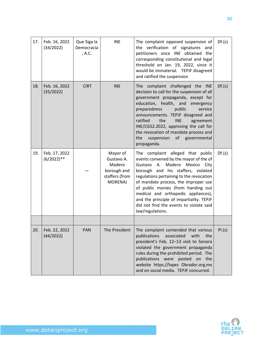| 17. | Feb. 16, 2022<br>(34/2022)     | Que Siga la<br>Democracia<br>, A.C. | <b>INE</b>                                                                   | The complaint opposed suspension of<br>the verification of signatures<br>and<br>petitioners once INE obtained the<br>corresponding constitutional and legal<br>threshold on Jan. 19, 2022, since it<br>would be immaterial. TEPJF disagreed<br>and ratified the suspension                                                                                                                                                           | Df.(s) |
|-----|--------------------------------|-------------------------------------|------------------------------------------------------------------------------|--------------------------------------------------------------------------------------------------------------------------------------------------------------------------------------------------------------------------------------------------------------------------------------------------------------------------------------------------------------------------------------------------------------------------------------|--------|
| 18. | Feb. 16, 2022<br>(35/2022)     | <b>CIRT</b>                         | <b>INE</b>                                                                   | The complaint challenged the INE<br>decision to call for the suspension of all<br>government propaganda, except for<br>education, health, and emergency<br>preparedness<br>public<br>service<br>announcements. TEPJF disagreed and<br>ratified<br>the<br><b>INE</b><br>agreement<br>INE/CG52.2022, approving the call for<br>the revocation of mandate process and<br>the<br>suspension<br>of governmental<br>propaganda.            | Df.(s) |
| 19. | Feb. 17, 2022<br>$(6/2022)$ ** |                                     | Mayor of<br>Gustavo A.<br>Madero<br>borough and<br>staffers (from<br>MORENA) | The complaint alleged that public<br>events convened by the mayor of the of<br>Madero Mexico<br>Gustavo A.<br>City<br>borough and his staffers, violated<br>regulations pertaining to the revocation<br>of mandate process, the improper use<br>of public monies (from handing out<br>medical and orthopedic appliances),<br>and the principle of impartiality. TEPJF<br>did not find the events to violate said<br>law/regulations. | Df.(s) |
|     |                                |                                     |                                                                              |                                                                                                                                                                                                                                                                                                                                                                                                                                      |        |
| 20. | Feb. 22, 2022<br>(44/2022)     | PAN                                 | The President                                                                | The complaint contended that various<br>publications<br>associated<br>with<br>the<br>president's Feb. 12-13 visit to Sonora<br>violated the government propaganda<br>rules during the prohibited period. The<br>publications were posted on the<br>website https://lopez Obrador.org.mx<br>and on social media. TEPJF concurred.                                                                                                     | PI.(s) |

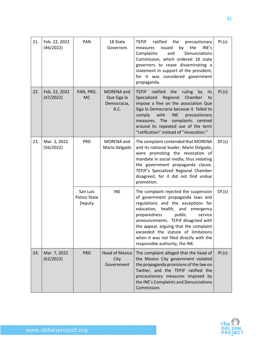| 21. | Feb. 22, 2022<br>(46/2022) | PAN                                | 18 State<br>Governors                                   | ratified<br>the<br>TEPJF<br>precautionary<br>the<br>issued<br>by<br>INE's<br>measures<br>Complaints<br>Denunciations<br>and<br>Commission, which ordered 18 state<br>governors to cease disseminating a<br>statement in support of the president,<br>for it was considered government<br>propaganda.                                                                                               | PI.(s) |
|-----|----------------------------|------------------------------------|---------------------------------------------------------|----------------------------------------------------------------------------------------------------------------------------------------------------------------------------------------------------------------------------------------------------------------------------------------------------------------------------------------------------------------------------------------------------|--------|
| 22. | Feb. 22, 2022<br>(47/2022) | PAN, PRD,<br><b>MC</b>             | <b>MORENA</b> and<br>Que Siga la<br>Democracia,<br>A.C. | <b>TEPJF</b><br>ratified<br>the<br>ruling<br>by<br>its<br>Specialized<br>Regional<br>Chamber<br>to<br>impose a fine on the association Que<br>Siga la Democracia because it failed to<br>with<br><b>INE</b><br>comply<br>precautionary<br>measures. The complaints centred<br>around its repeated use of the term<br>"ratification" instead of "revocation."                                       | PI.(s) |
| 23. | Mar. 2, 2022<br>(56/2022)  | <b>PRD</b>                         | MORENA and<br>Mario Delgado                             | The complaint contended that MORENA<br>and its national leader, Mario Delgado,<br>were promoting the revocation of<br>mandate in social media, thus violating<br>the government propaganda clause.<br>TEPJF's Specialized Regional Chamber<br>disagreed, for it did not find undue<br>promotion.                                                                                                   | Df.(s) |
|     |                            | San Luis<br>Potosí State<br>Deputy | <b>INE</b>                                              | The complaint rejected the suspension<br>of government propaganda laws and<br>regulations and the exceptions for<br>education, health, and<br>emergency<br>preparedness<br>public<br>service<br>announcements. TEPJF disagreed with<br>the appeal, arguing that the complaint<br>exceeded the statute of limitations<br>when it was not filed directly with the<br>responsible authority, the INE. | Df.(s) |
| 24. | Mar. 7, 2022<br>(62/2022)  | <b>PRD</b>                         | <b>Head of Mexico</b><br>City<br>Government             | The complaint alleged that the head of<br>the Mexico City government violated<br>the propaganda provisions of the law on<br>Twitter, and the TEPJF ratified the<br>precautionary measures imposed by<br>the INE's Complaints and Denunciations<br>Commission.                                                                                                                                      | PI.(s) |

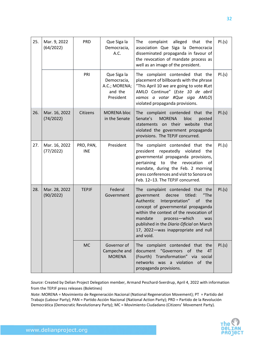| 25. | Mar. 9, 2022<br>(64/2022)  | <b>PRD</b>              | Que Siga la<br>Democracia,<br>A.C.                                  | complaint<br>alleged<br>that<br>the<br>The<br>association Que Siga la Democracia<br>disseminated propaganda in favour of<br>the revocation of mandate process as<br>well as an image of the president.                                                                                                                                         | PI.(s) |
|-----|----------------------------|-------------------------|---------------------------------------------------------------------|------------------------------------------------------------------------------------------------------------------------------------------------------------------------------------------------------------------------------------------------------------------------------------------------------------------------------------------------|--------|
|     |                            | PRI                     | Que Siga la<br>Democracia,<br>A.C.; MORENA;<br>and the<br>President | The complaint contended that the<br>placement of billboards with the phrase<br>"This April 10 we are going to vote #Let<br>AMLO Continue" (Este 10 de abril<br>vamos a votar #Que siga AMLO)<br>violated propaganda provisions.                                                                                                                | PI.(s) |
| 26. | Mar. 16, 2022<br>(74/2022) | Citizens                | <b>MORENA bloc</b><br>in the Senate                                 | The complaint contended that the<br><b>MORENA</b><br>bloc<br>Senate's<br>posted<br>on their<br>website that<br>statements<br>violated the government propaganda<br>provisions. The TEPJF concurred.                                                                                                                                            | PI.(s) |
| 27. | Mar. 16, 2022<br>(77/2022) | PRD, PAN,<br><b>INE</b> | President                                                           | The complaint contended that the<br>president repeatedly violated<br>the<br>governmental propaganda provisions,<br>pertaining<br>to<br>the<br>revocation<br>of<br>mandate, during the Feb. 2 morning<br>press conferences and visit to Sonora on<br>Feb. 12-13. The TEPJF concurred.                                                           | PI.(s) |
| 28. | Mar. 28, 2022<br>(90/2022) | <b>TEPJF</b>            | Federal<br>Government                                               | The complaint contended that the<br>decree<br>government<br>titled:<br>"The<br>Authentic<br>Interpretation"<br>the<br>of<br>concept of governmental propaganda<br>within the context of the revocation of<br>mandate<br>process-which<br>was<br>published in the Diario Oficial on March<br>17, 2022 – was inappropriate and null<br>and void. | PI.(s) |
|     |                            | <b>MC</b>               | Governor of<br>Campeche and<br><b>MORENA</b>                        | The complaint contended that the<br>document "Governors of the<br>4T<br>(Fourth) Transformation" via social<br>networks was a violation of the<br>propaganda provisions.                                                                                                                                                                       | PI.(s) |

*Source:* Created by Delian Project Delegation member, Armand Peschard-Sverdrup, April 4, 2022 with information from the TEPJF press releases (Boletines)

*Note*: MORENA = Movimiento de Regeneración Nacional (National Regeneration Movement); PT = Partido del Trabajo (Labour Party); PAN = Partido Acción Nacional (National Action Party); PRD = Partido de la Revolución Democrática (Democratic Revolutionary Party); MC = Movimiento Ciudadano (Citizens' Movement Party).

32

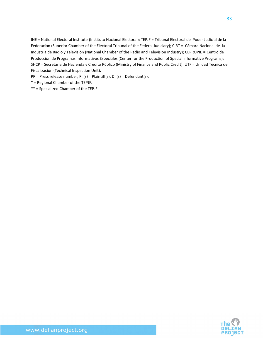INE = National Electoral Institute (Instituto Nacional Electoral); TEPJF = Tribunal Electoral del Poder Judicial de la Federación (Superior Chamber of the Electoral Tribunal of the Federal Judiciary); CIRT = Cámara Nacional de la Industria de Radio y Televisión (National Chamber of the Radio and Television Industry); CEPROPIE = Centro de Producción de Programas Informativos Especiales (Center for the Production of Special Informative Programs); SHCP = Secretaría de Hacienda y Crédito Público (Ministry of Finance and Public Credit); UTF = Unidad Técnica de Fiscalización (Technical Inspection Unit).

PR = Press release number; Pl.(s) = Plaintiff(s); Dl.(s) = Defendant(s).

\* = Regional Chamber of the TEPJF.

\*\* = Specialized Chamber of the TEPJF.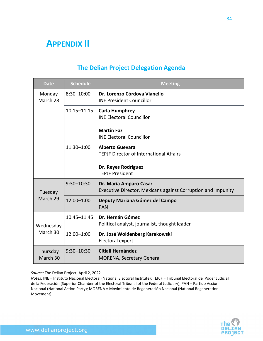### **APPENDIX II**

| <b>Date</b>           | <b>Schedule</b> | <b>Meeting</b>                                                                         |
|-----------------------|-----------------|----------------------------------------------------------------------------------------|
| Monday<br>March 28    | $8:30 - 10:00$  | Dr. Lorenzo Córdova Vianello<br><b>INE President Councillor</b>                        |
|                       | $10:15 - 11:15$ | <b>Carla Humphrey</b><br><b>INE Electoral Councillor</b>                               |
|                       |                 | <b>Martín Faz</b><br><b>INE Electoral Councillor</b>                                   |
|                       | 11:30-1:00      | <b>Alberto Guevara</b><br><b>TEPJF Director of International Affairs</b>               |
|                       |                 | Dr. Reyes Rodriguez<br><b>TEPJF President</b>                                          |
| Tuesday<br>March 29   | $9:30 - 10:30$  | Dr. María Amparo Casar<br>Executive Director, Mexicans against Corruption and Impunity |
|                       | 12:00-1:00      | Deputy Mariana Gómez del Campo<br><b>PAN</b>                                           |
| Wednesday<br>March 30 | 10:45-11:45     | Dr. Hernán Gómez<br>Political analyst, journalist, thought leader                      |
|                       | 12:00-1:00      | Dr. José Woldenberg Karakowski<br>Electoral expert                                     |
| Thursday<br>March 30  | $9:30 - 10:30$  | Citlali Hernández<br><b>MORENA, Secretary General</b>                                  |

#### **The Delian Project Delegation Agenda**

*Source:* The Delian Project, April 2, 2022.

*Notes:* INE = Instituto Nacional Electoral (National Electoral Institute); TEPJF = Tribunal Electoral del Poder Judicial de la Federación (Superior Chamber of the Electoral Tribunal of the Federal Judiciary); PAN = Partido Acción Nacional (National Action Party); MORENA = Movimiento de Regeneración Nacional (National Regeneration Movement).

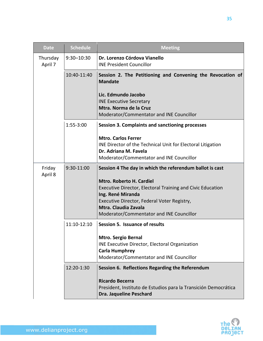| <b>Date</b>         | <b>Schedule</b> | <b>Meeting</b>                                                                                                                                                                                                                               |
|---------------------|-----------------|----------------------------------------------------------------------------------------------------------------------------------------------------------------------------------------------------------------------------------------------|
| Thursday<br>April 7 | $9:30 - 10:30$  | Dr. Lorenzo Córdova Vianello<br><b>INE President Councillor</b>                                                                                                                                                                              |
|                     | 10:40-11:40     | Session 2. The Petitioning and Convening the Revocation of<br><b>Mandate</b>                                                                                                                                                                 |
|                     |                 | Lic. Edmundo Jacobo<br><b>INE Executive Secretary</b><br>Mtra. Norma de la Cruz<br>Moderator/Commentator and INE Councillor                                                                                                                  |
|                     | 1:55-3:00       | <b>Session 3. Complaints and sanctioning processes</b>                                                                                                                                                                                       |
|                     |                 | <b>Mtro. Carlos Ferrer</b><br>INE Director of the Technical Unit for Electoral Litigation<br>Dr. Adriana M. Favela<br>Moderator/Commentator and INE Councillor                                                                               |
| Friday<br>April 8   | 9:30-11:00      | Session 4 The day in which the referendum ballot is cast                                                                                                                                                                                     |
|                     |                 | <b>Mtro. Roberto H. Cardiel</b><br><b>Executive Director, Electoral Training and Civic Education</b><br>Ing. René Miranda<br>Executive Director, Federal Voter Registry,<br>Mtra. Claudia Zavala<br>Moderator/Commentator and INE Councillor |
|                     | 11:10-12:10     | Session 5. Issuance of results                                                                                                                                                                                                               |
|                     |                 | <b>Mtro. Sergio Bernal</b><br><b>INE Executive Director, Electoral Organization</b><br><b>Carla Humphrey</b>                                                                                                                                 |
|                     | 12:20-1:30      | Moderator/Commentator and INE Councillor<br>Session 6. Reflections Regarding the Referendum                                                                                                                                                  |
|                     |                 | <b>Ricardo Becerra</b><br>President, Instituto de Estudios para la Transición Democrática<br><b>Dra. Jaqueline Peschard</b>                                                                                                                  |